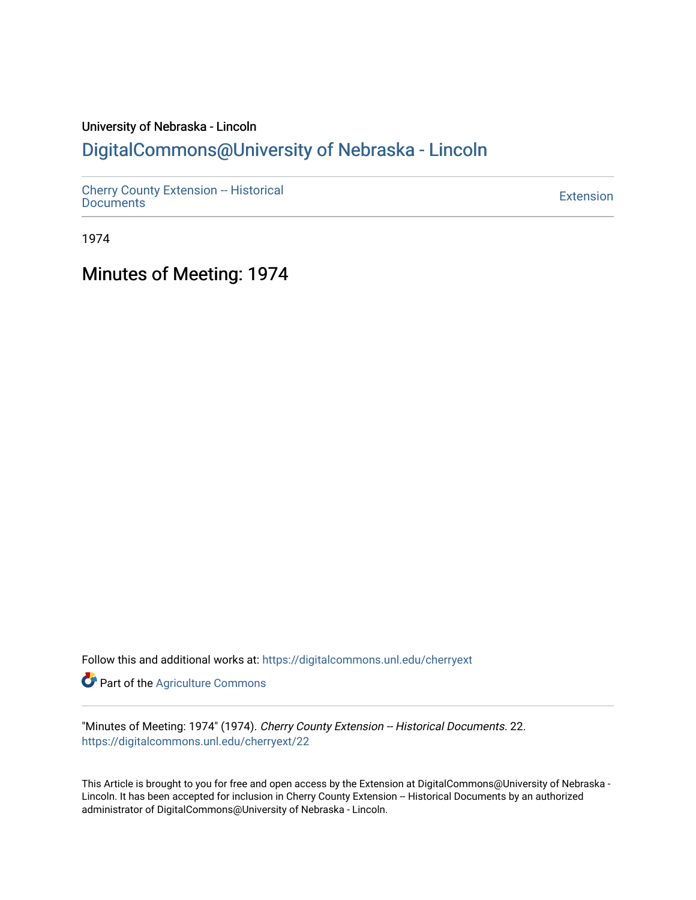# University of Nebraska - Lincoln [DigitalCommons@University of Nebraska - Lincoln](https://digitalcommons.unl.edu/)

[Cherry County Extension -- Historical](https://digitalcommons.unl.edu/cherryext)  [Documents](https://digitalcommons.unl.edu/cherryext) [Extension](https://digitalcommons.unl.edu/coop_extension) 

1974

Minutes of Meeting: 1974

Follow this and additional works at: [https://digitalcommons.unl.edu/cherryext](https://digitalcommons.unl.edu/cherryext?utm_source=digitalcommons.unl.edu%2Fcherryext%2F22&utm_medium=PDF&utm_campaign=PDFCoverPages) 

**Part of the [Agriculture Commons](http://network.bepress.com/hgg/discipline/1076?utm_source=digitalcommons.unl.edu%2Fcherryext%2F22&utm_medium=PDF&utm_campaign=PDFCoverPages)** 

"Minutes of Meeting: 1974" (1974). Cherry County Extension -- Historical Documents. 22. [https://digitalcommons.unl.edu/cherryext/22](https://digitalcommons.unl.edu/cherryext/22?utm_source=digitalcommons.unl.edu%2Fcherryext%2F22&utm_medium=PDF&utm_campaign=PDFCoverPages)

This Article is brought to you for free and open access by the Extension at DigitalCommons@University of Nebraska - Lincoln. It has been accepted for inclusion in Cherry County Extension -- Historical Documents by an authorized administrator of DigitalCommons@University of Nebraska - Lincoln.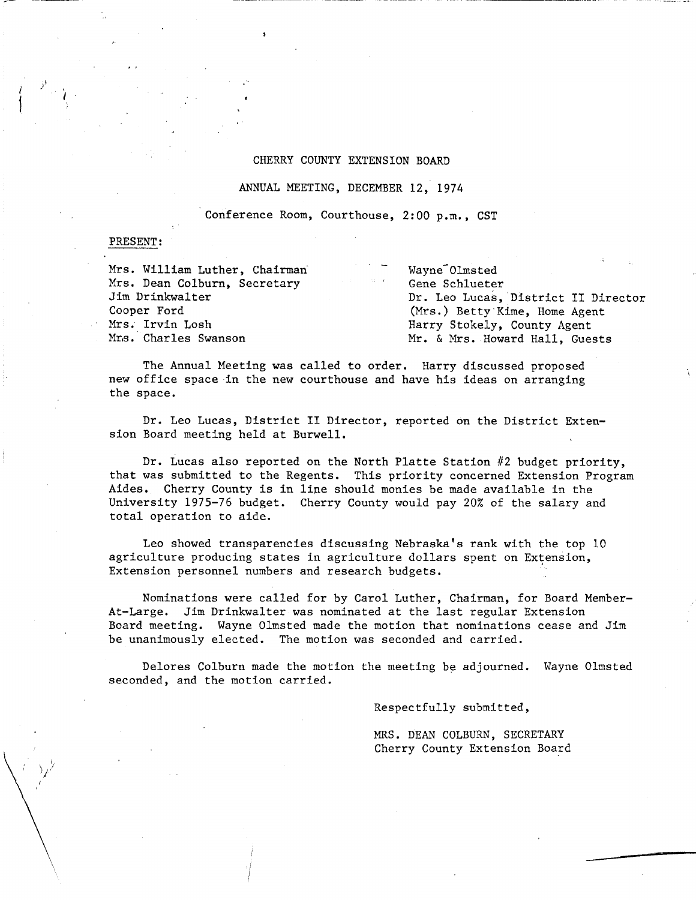## CHERRY COUNTY EXTENSION BOARD

ANNUAL MEETING, DECEMBER 12, 1974

Conference Room, Courthouse, 2:00 p.m., CST

#### PRESENT:

/

| Mrs. William Luther, Chairman                | Wayne Olmsted                       |  |  |
|----------------------------------------------|-------------------------------------|--|--|
| しんしょう しょうしょう<br>Mrs. Dean Colburn, Secretary | Gene Schlueter                      |  |  |
| Jim Drinkwalter                              | Dr. Leo Lucas, District II Director |  |  |
| Cooper Ford                                  | (Mrs.) Betty Kime, Home Agent       |  |  |
| Mrs. Irvin Losh                              | Harry Stokely, County Agent         |  |  |
| Mrs. Charles Swanson                         | Mr. & Mrs. Howard Hall, Guests      |  |  |

The Annual Meeting was called to order. Harry discussed proposed new office space in the new courthouse and have his ideas on arranging the space.

Dr. Leo Lucas, District II Director, reported on the District Extension Board meeting held at Burwell.

Dr. Lucas also reported on the North Platte Station #2 budget priority, that was submitted to the Regents. This priority concerned Extension Program Aides. Cherry County is in lipe should monies be made available in the University 1975-76 budget. Cherry County would pay 20% of the salary and total operation to aide.

Leo showed transparencies discussing Nebraska's rank with the top 10 agriculture producing states in agriculture dollars spent on Extension, Extension personnel numbers and research budgets.

Nominations were called for by Carol Luther, Chairman, for Board Member-At-Large. Jim Drinkwalter was nominated at the last regular Extension Board meeting. Wayne Olmsted made the motion that nominations cease and Jim be unanimously elected. The motion was seconded and carried.

Delores Colburn made the motion the meeting be adjourned. Wayne Olmsted seconded, and the motion carried.

Respectfully submitted,

MRS. DEAN COLBURN, SECRETARY Cherry County Extension Board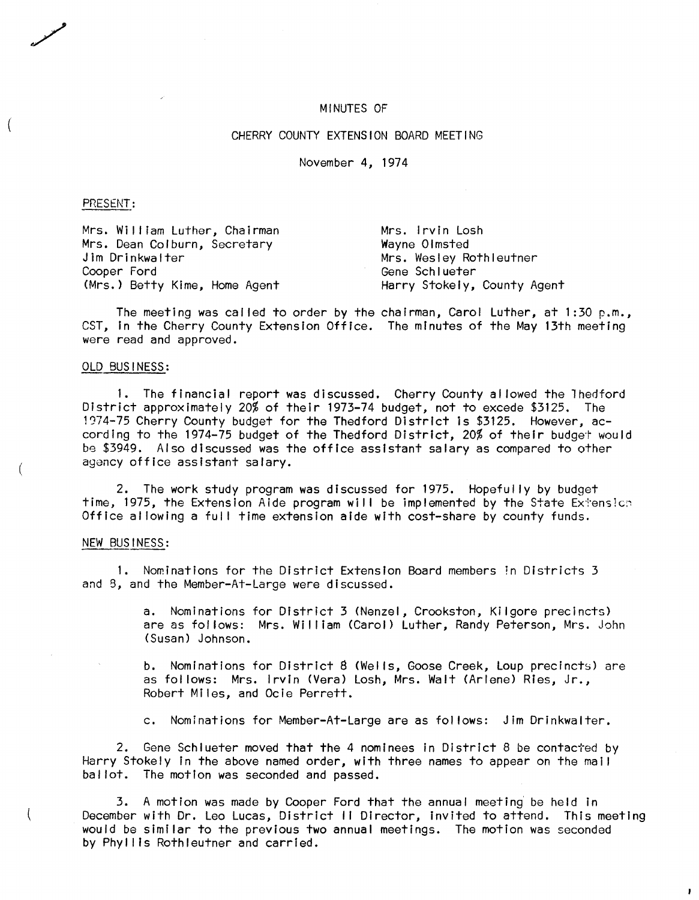#### MINUTES OF

# CHERRY COUNTY EXTENSION BOARD MEETING

November 4, 1974

#### PRESENT:

Mrs. William Luther, Chairman Mrs. Dean Colburn, Secretary Jim Drinkwalter Cooper Ford Gene Schlueter (Mrs.) Betty Kime, Home Agent Harry Stokely, County Agent

Mrs. Irvin Losh Wayne Olmsted Mrs. Wesley Rothleutner

The meeting was called to order by the chairman, Carol Luther, at 1:30 p.m., CST, in the Cherry County Extension Office. The minutes of the May 13th meeting were read and approved.

### OLD BUSINESS:

1. The financial report was discussed. Cherry County al lowed the lhedford District approximately 20% of their 1973-74 budget, not to excede \$3125. The 1974-75 Cherry County budget for the Thedford District is \$3125. However, according to the 1974-75 budget of the Thedford District, 20% of their budget would be \$3949. Also discussed was the office assistant salary as compared to other agency office assistant salary.

2. The work study program was discussed for 1975. Hopefully by budget time, 1975, the Extension Aide program will be implemented by the State Extension Office allowing a full time extension aide with cost-share by county funds.

#### NEW BUSINESS:

1. Nominations for the District Extension Board members in Districts 3 and 8, and the Member-At-Large were discussed.

> a. Nominations for District 3 (Nenzel, Crookston, Kilgore precincts) are as fol lows: Mrs. William (Carol) Luther, Randy Peterson, Mrs. John (Susan) Johnson.

> b. Nominations for District 8 (Wells, Goose Creek, Loup precincts) are as follows: Mrs. Irvin (Vera) Losh, Mrs. Walt (Arlene) Ries, Jr., Robert Miles, and Ocie Perrett.

c. Nominations for Member-At-Large are as fol lows: Jim Drinkwalter.

2. Gene Schlueter moved that the 4 nominees in District 8 be contacted by Harry Stokely in the above named order, with three names to appear on the mall bal lot. The motion was seconded and passed.

3. A motion was made by Cooper Ford that the annual meeting be held in December with Dr. Leo Lucas, District II Director, invited to attend. This meeting would be similar to the previous two annual meetings. The motion was seconded by Phyllis Rothleutner and carried.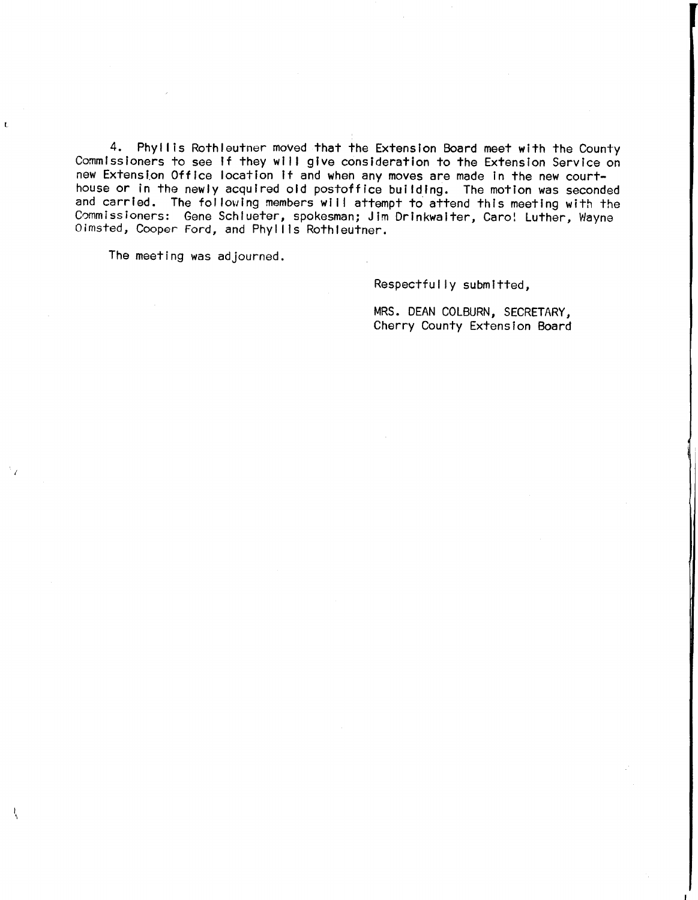4. Phyl lis Rothleutner moved that the Extension Board meet with the County Commissioners to see If they will give consideration to the Extension Service on new Extension Office location it and when any moves are made in the new courthouse or in the newly acquired old postoffice building. The motion was seconded and carried. The following members will attempt to attend this meeting with the Commissioners: Gene Schlueter, spokesman; Jim Drinkwalter, Caro! Luther, Wayne Oimsted, Cooper Ford, and Phyllis Rothleutner.

The meeting was adjourned.

Respectfully submitted,

MRS. DEAN COLBURN, SECRETARY, Cherry County Extension Board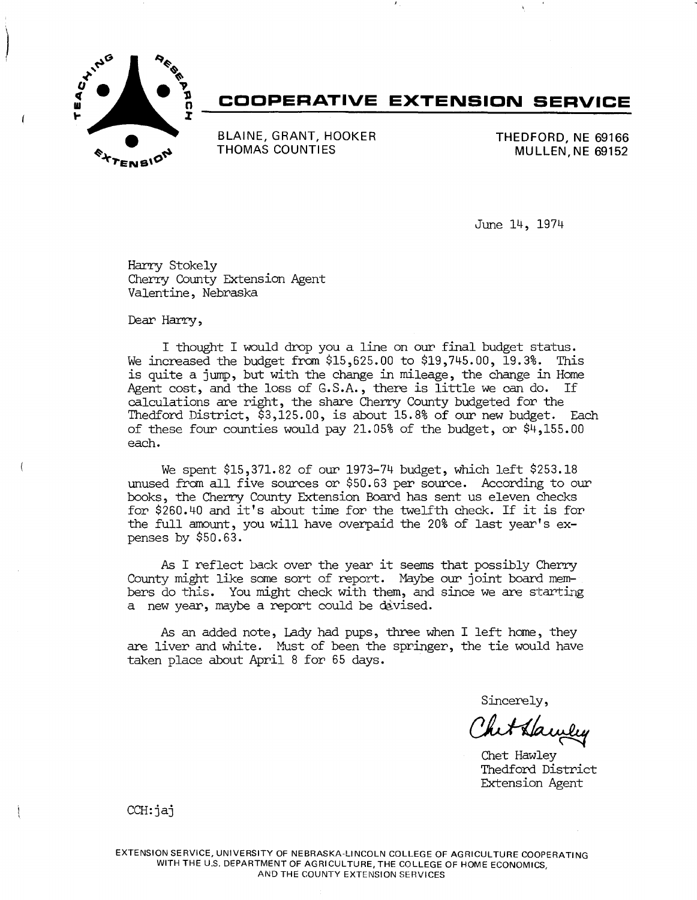

# **COOPERATIVE EXTENSION SERVICE**

BLAINE, GRANT, HOOKER THOMAS COUNTIES

THEDFORD, NE 69166 MULLEN, NE 69152

June 14, 1974

Harry Stokely Cherry County Extension Agent Valentine, Nebraska

Dear Harry,

I thought I would drop you a line on our final budget status. We increased the budget from \$15,625.00 to \$19,745.00, 19.3%. This is quite a jump, but with the change in mileage, the change in Home Agent  $cost$ , and the loss of  $G.S.A.$ , there is little we can do. calculations are right, the share Cherry County budgeted for the Thedford District, \$3,125.00, is about 15.8% of our new budget. Each of these four counties would pay 21.05% of the budget, or  $\frac{1}{7}$ , 155.00 each.

We spent \$15,371.82 of our 1973-74 budget, which left \$253.18 unused from all five sources or \$50.63 per source. According to our books, the Cherry County Extension Board has sent us eleven checks for \$260.40 and it's about time for the twelfth check. If it is for the full amount, you will have overpaid the 20% of last year's expenses by \$50.63.

As I reflect back over the year it seems that possibly Cherry County might like some sort of report. Maybe our joint board members do this. You might check with them, and since we are starting a new year, maybe a report could be devised.

As an added note, Lady had pups, three when I left home, they are liver and white. Must of been the springer, the tie would have taken place about April 8 for 65 days.

Sincerely,

het Hawley

Thedford District Extension Agent

CCH:jaj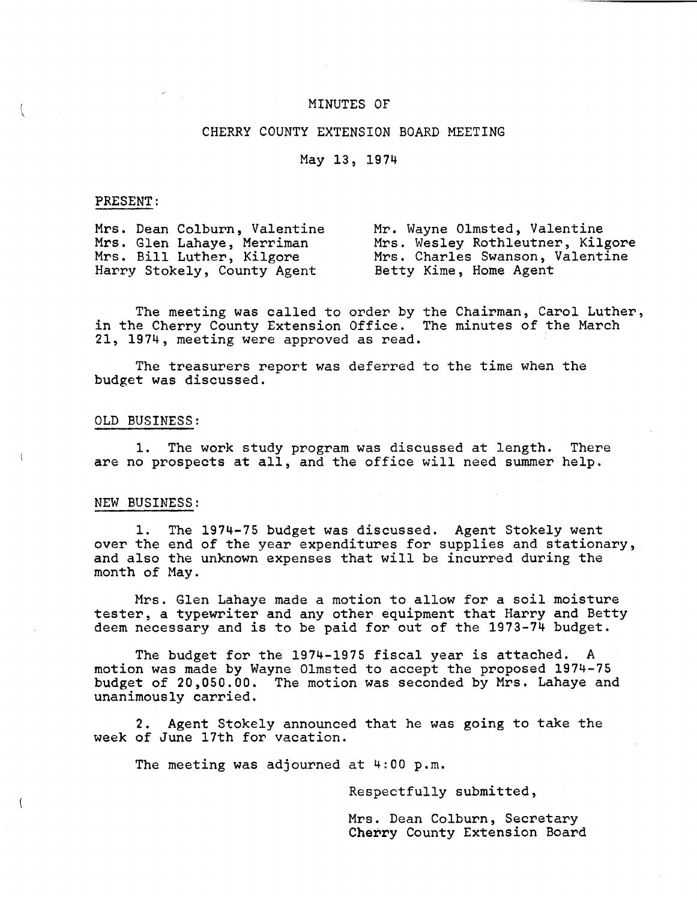# MINUTES OF

# CHERRY COUNTY EXTENSION BOARD MEETING

# May 13, 1974

### PRESENT:

Mrs. Dean Colburn, Valentine Mrs. Glen Lahaye, Merriman Mrs. Bill Luther, Kilgore Harry Stokely, County Agent

Mr. Wayne Olmsted, Valentine Mrs. Wesley Rothleutner, Kilgore Mrs. Charles Swanson, Valentine Betty Kime, Home Agent

The meeting was called to order by the Chairman, Carol Luther, in the Cherry County Extension Office. The minutes of the March 21, 1974, meeting were approved as read.

The treasurers report was deferred to the time when the budget was discussed.

### OLD BUSINESS:

1. The work study program was discussed at length. There are no prospects at all, and the office will need summer help.

#### NEW BUSINESS:

1. over the end of the year expenditures for supplies and stationary, and also the unknown expenses that will be incurred during the month of May. The 1974-75 budget was discussed. Agent Stokely went

Mrs. Glen Lahaye made a motion to allow for a soil moisture tester, a typewriter and any other equipment that Harry and Betty deem necessary and is to be paid for out of the 1973-74 budget.

The budget for the 1974-1975 fiscal year is attached. A motion was made by Wayne Olmsted to accept the proposed 1974-75 budget of 20,050.00. The motion was seconded by Mrs. Lahaye and unanimously carried.

2. Agent Stokely announced that he was going to take the week of June 17th for vacation.

The meeting was adjourned at 4:00 p.m.

Respectfully submitted,

Mrs. Dean Colburn, Secretary Cherry County Extension Board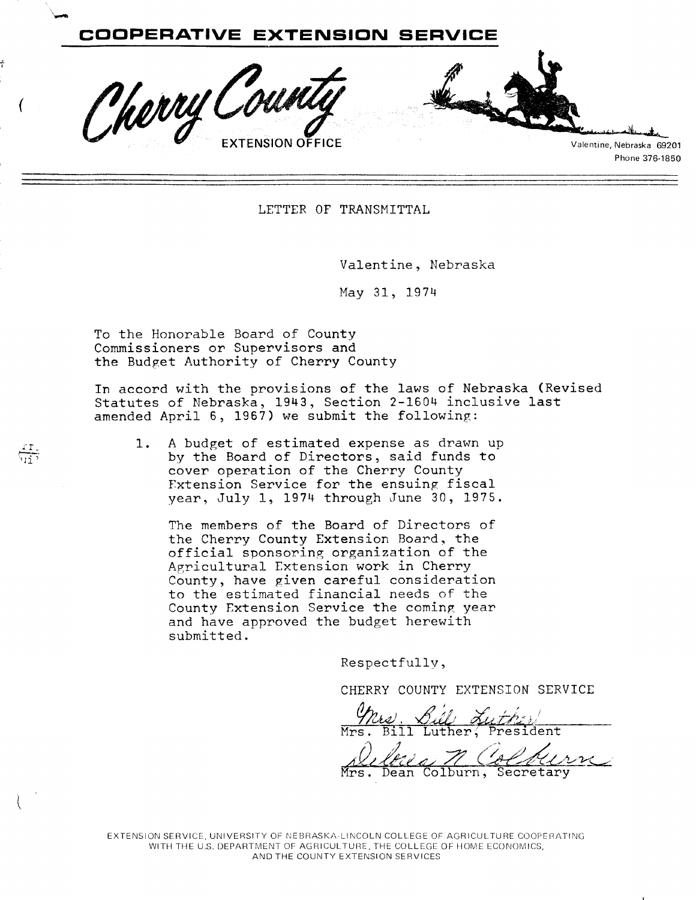

LETTER OF TRANSMITTAL

Valentine, Nebraska

May 31, 1974

To the Honorable Board of County Commissioners or Supervisors and the Budget Authority of Cherry County

In accord with the provisions of the laws of Nebraska (Revised Statutes of Nebraska, 1943, Section 2-1604 inclusive last amended April 6, 1967) we submit the following:

**1.** A budget of estimated expense as drawn up by the Board of Directors, said funds to cover operation of the Cherry County rxtension Service for the ensuing fiscal year, July 1, 1974 through June 30, 1975.

The members of the Board of Directors of the Cherry County Extension Board. the official sponsoring organization of the Agricultural Extension work in Cherry County, have given careful consideration to the estimated financial needs of the County Extension Service the coming year and have approved the budget herewith submitted.

Respectfully,

CHERRY COUNTY EXTENSION SERVICE

Mrs. Bill Luther, President This. <u>Cill Luther</u><br>Mrs. Bill Luther, President<br>Mrs. Dean Colburn, Secretary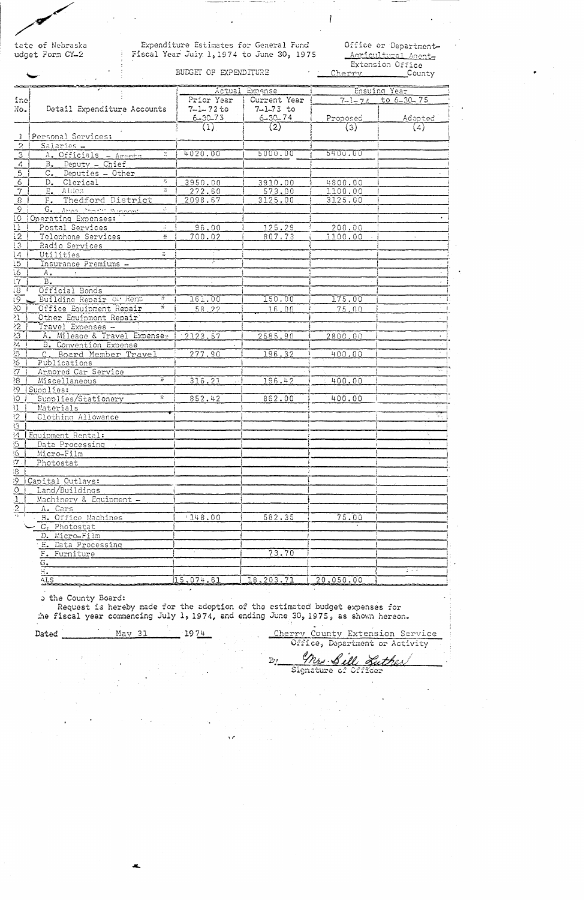tate of Nebraska udget Form CY-2

# Expenditure Estimates for General Fund Fiscal Year July 1, 1974 to June 30, 1975

Office or Department-Acricultural Agent

BUDGET OF EXPENDITURE

Extension Office<br>Prv County Cherry Cherry

|                                  |                                                        |                 | Actual Expense            |               | Ensuing Year                     |  |
|----------------------------------|--------------------------------------------------------|-----------------|---------------------------|---------------|----------------------------------|--|
| ine!                             |                                                        |                 | Prior Year   Current Year |               | $7 - 1 - 74$ to 6-30-75          |  |
| No.                              | Detail Expenditure Accounts                            | $7 - 1 - 72$ to | $7 - 1 - 73$ to           |               |                                  |  |
|                                  |                                                        | $6 - 30 - 73$   | $6 - 30 - 74$             | Proposed      | Adopted                          |  |
|                                  |                                                        | (1)             | $\left( 2\right)$         | $\binom{3}{}$ | (4)                              |  |
| $\mathbf{L}$                     | Personal Services:                                     |                 |                           |               |                                  |  |
| $\overline{2}$                   | Salaries -                                             |                 |                           |               |                                  |  |
| $\overline{3}$                   | ${\cal V}$<br>A. Officials - Aments                    | 4020.00         | 5000.00                   | 5400.00       |                                  |  |
| $\overline{4}$                   | B. Deputy - Chief                                      |                 |                           |               |                                  |  |
| $\overline{5}$                   | $C_{\bullet}$<br>Deputies - Other                      |                 |                           |               |                                  |  |
| 6                                | 芥<br>D. Clerical                                       | 3950.00         | 3910.00                   | 4800.00       |                                  |  |
| $\overline{\tau}$                | 冨<br>$E_{\bullet}$<br>Aides                            | 272.60          | 573.00                    | 1100.00       |                                  |  |
| 8 <sup>1</sup>                   | F. Thedford District                                   | 2098.67         | 3125.00                   | 3125.00       |                                  |  |
| $\overline{9}$                   | G. Area Staff Support<br>$\mathcal{L}^{\mathcal{L}}$ . |                 |                           |               |                                  |  |
| $10^{-}$                         | Operating Expenses:                                    |                 |                           |               |                                  |  |
| $\overline{11}$                  | Postal Services<br>$\frac{1}{2}$                       | 96.00           | 125.29                    | 200.00        |                                  |  |
| $\overline{12}$                  | Telephone Services<br>÷                                | 700.02          | 807.73                    | 1100.00       |                                  |  |
| $\overline{13}$                  | Radio Services                                         |                 |                           |               |                                  |  |
|                                  | ÷.<br>Utilities                                        |                 |                           |               |                                  |  |
| $\frac{14}{15}$                  | Insurance Premiums -                                   |                 |                           |               |                                  |  |
|                                  | A.                                                     |                 |                           |               |                                  |  |
|                                  | B.                                                     |                 |                           |               |                                  |  |
|                                  | Official Bonds                                         |                 |                           |               |                                  |  |
| $\frac{16}{19}$                  | Ŧ<br>Building Repair Of Rent                           | 161.00          | 150.00                    | 175.00        |                                  |  |
| $\overline{50}$                  | Office Equipment Repair                                | 58.22           | 16.00                     | 75.00         |                                  |  |
| $\overline{\mathbf{21}}$         | Other Equipment Repair                                 |                 |                           |               |                                  |  |
|                                  | Travel Expenses -                                      |                 |                           |               |                                  |  |
| $\frac{22}{23}$                  | A. Mileage & Travel Expense*                           | 12123.57        | 2585.90                   | 2800.00       |                                  |  |
| $\overline{24}$                  | <b>B.</b> Convention Expense                           |                 |                           |               |                                  |  |
| $\overline{\mathfrak{B}}$        | C. Board Member Travel                                 | 277.90          | 196.32                    | 400.00        |                                  |  |
| $\overline{25}$                  | Publications                                           |                 |                           |               |                                  |  |
| $\overline{7}$                   | Armored Car Service                                    |                 |                           |               |                                  |  |
| Ş.                               | $\overline{\mathbf{r}}$<br>Miscellaneous               | 316.21          | 196.42                    | 400.00        |                                  |  |
| 29.                              | Supplies:                                              |                 |                           |               |                                  |  |
| 30,                              | Ŧ<br>Supplies/Stationery                               | 852.42          | 862.00                    | 400.00        |                                  |  |
| 31 <sup>1</sup>                  | Materials                                              |                 |                           |               |                                  |  |
| $\overline{2}$                   | Clothing Allowance                                     |                 |                           |               | $\frac{1}{2}$                    |  |
| $3^{3}$                          |                                                        |                 |                           |               |                                  |  |
| $\overline{4}$                   | Equipment Rental:                                      |                 |                           |               |                                  |  |
|                                  | Data Processing .                                      |                 |                           |               |                                  |  |
| 5<br>$\overline{6}$              | Micro-Film                                             |                 |                           |               |                                  |  |
| $7^{\circ}$                      |                                                        |                 |                           |               |                                  |  |
|                                  | Photostat                                              |                 |                           |               |                                  |  |
| $\overline{8}$<br>$\overline{9}$ |                                                        |                 |                           |               |                                  |  |
| $\overline{0}$                   | Capital Outlays:<br>Land/Buildings                     |                 |                           |               |                                  |  |
|                                  |                                                        |                 |                           |               |                                  |  |
| $\frac{1}{2}$                    | Machinery & Equipment -                                |                 |                           |               |                                  |  |
| .,-                              | A. Cars                                                |                 |                           |               |                                  |  |
|                                  | B. Office Machines                                     | 148.00          | 582.35                    | 75.00         |                                  |  |
|                                  | C. Photostat                                           |                 |                           |               |                                  |  |
|                                  | D. Micro-Film                                          |                 |                           |               |                                  |  |
|                                  | E. Data Processing                                     |                 |                           |               |                                  |  |
|                                  | F. Furniture                                           |                 | 73.70                     |               |                                  |  |
|                                  | $G_{\bullet}$                                          |                 |                           |               | $\mathcal{L} \times \mathcal{L}$ |  |
|                                  | л.                                                     |                 |                           |               |                                  |  |
|                                  | ALS<br>-                                               | 15,074.61       | 18,203.71                 | 20,050.00     |                                  |  |

o the County Board:

Request is hereby made for the adoption of the estimated budget expenses for ;he fiscal year commencing July 1, 1974, and ending June 30, 1975, as shown hereon.

Dated \_\_\_\_\_\_\_\_\_ May 31 \_\_\_\_\_ 19 74

Cherry County Extension Service Office, Department or Activity

mrs. Sill Suther  $By$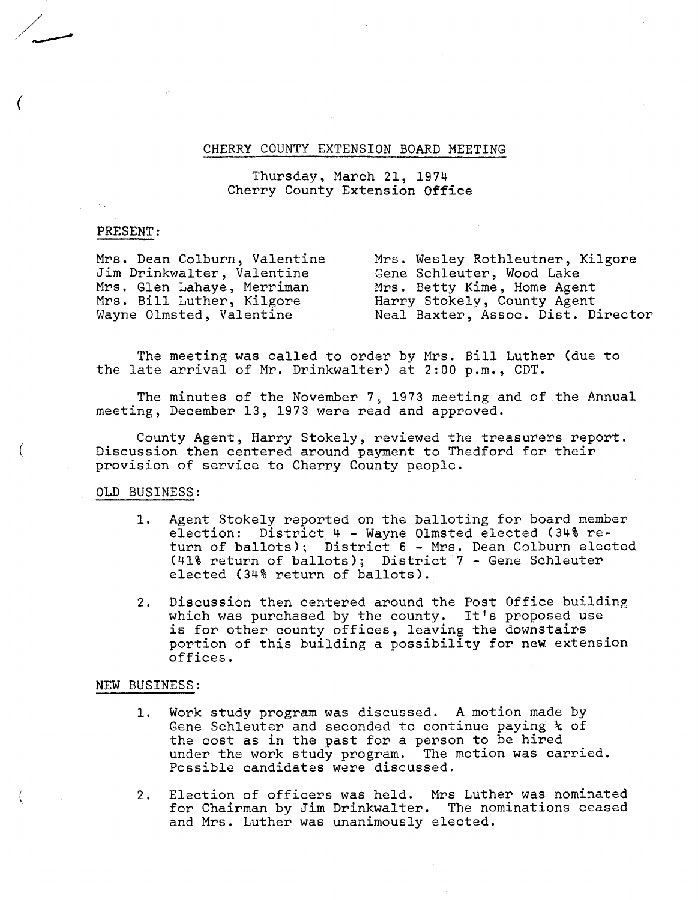# CHERRY COUNTY EXTENSION BOARD MEETING

# Thursday, March 21, 1974 Cherry County Extension Office

# PRESENT:

Mrs. Dean Colburn, Valentine Jim Drinkwalter, Valentine Mrs. Glen Lahaye, Merriman Mrs. Bill Luther, Kilgore Wayne Olmsted, Valentine Mrs. Wesley Roth1eutner, Kilgore Gene Schleuter, Wood Lake Mrs. Betty Kime, Home Agent Harry Stokely, County Agent Neal Baxter, Assoc. Dist. Director

The meeting was called to order by Mrs. Bill Luther (due to the late arrival of Mr. Drinkwa1ter) at 2:00 p.m., CDT.

The minutes of the November 7, 1973 meeting and of the Annual meeting, December 13, 1973 were read and approved.

County Agent, Harry Stokely, reviewed the treasurers report. Discussion then centered around payment to Thedford for their provision of service to Cherry County people.

# OLD BUSINESS:

- 1. Agent Stokely reported on the balloting for board member election: District 4 - Wayne Olmsted elected (34% return of ballots); District 6 - Mrs. Dean Colburn elected (41% return of ballots); District 7 - Gene Schleuter elected (34% return of ballots).
- 2. Discussion then centered around the Post Office building which was purchased by the county. It's proposed use is for other county offices, leaving the downstairs portion of this building a possibility for new extension offices.

## NEW BUSINESS:

- 1. Work study program was discussed. A motion made by Gene Schleuter and seconded to continue paying  $k$  of the cost as in the past for a person to be hired under the work study program. The motion was carried. Possible candidates were discussed.
- 2. Election of officers was held. Mrs Luther was nominated for Chairman by Jim Drinkwalter. The nominations ceased and Mrs. Luther was unanimously elected.